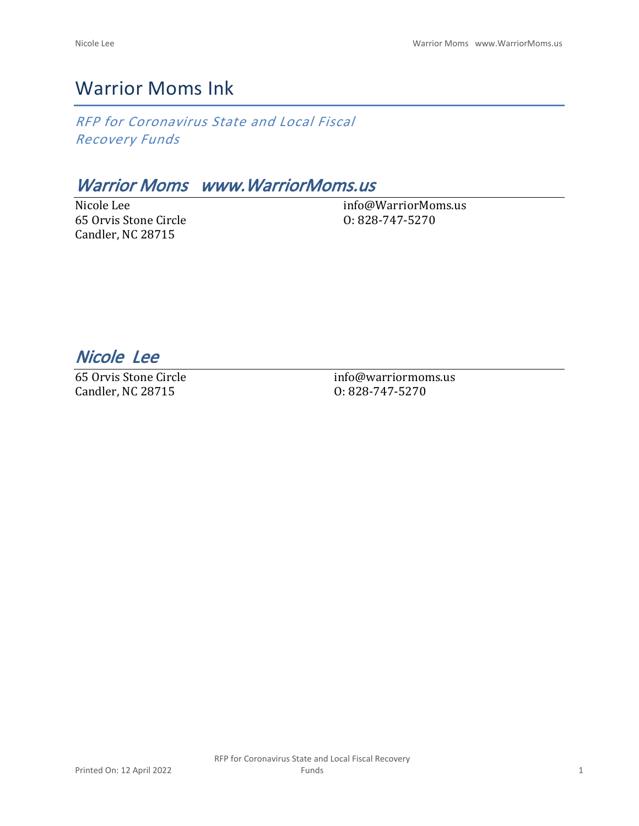# Warrior Moms Ink

*RFP for Coronavirus State and Local Fiscal Recovery Funds*

# *Warrior Moms www.WarriorMoms.us*

Nicole Lee 65 Orvis Stone Circle Candler, NC 28715

info@WarriorMoms.us O: 828-747-5270

*Nicole Lee* 

65 Orvis Stone Circle Candler, NC 28715

info@warriormoms.us O: 828-747-5270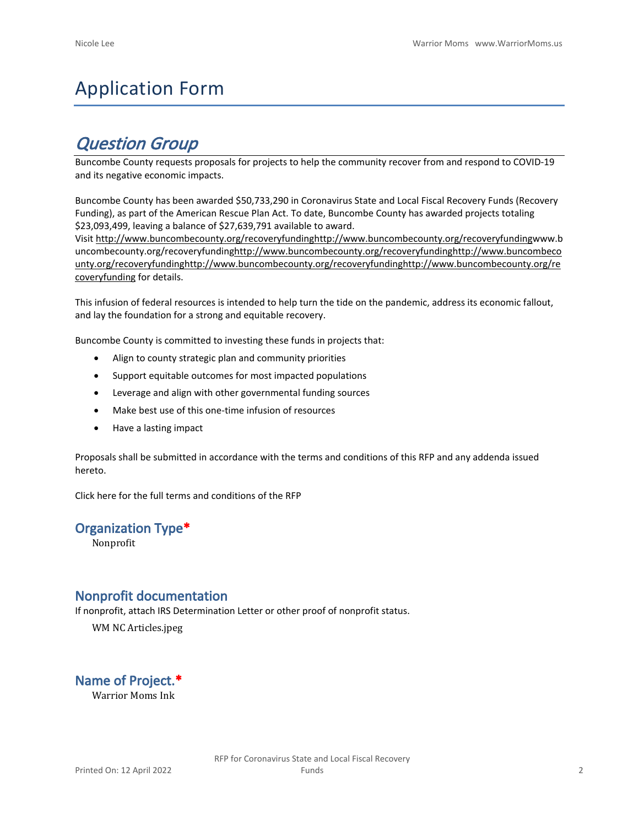# Application Form

# *Question Group*

Buncombe County requests proposals for projects to help the community recover from and respond to COVID-19 and its negative economic impacts.

Buncombe County has been awarded \$50,733,290 in Coronavirus State and Local Fiscal Recovery Funds (Recovery Funding), as part of the American Rescue Plan Act. To date, Buncombe County has awarded projects totaling \$23,093,499, leaving a balance of \$27,639,791 available to award.

Visit [http://www.buncombecounty.org/recoveryfundinghttp://www.buncombecounty.org/recoveryfundingwww.b](http://www.buncombecounty.org/recoveryfunding) [uncombecounty.org/recoveryfundinghttp://www.buncombecounty.org/recoveryfundinghttp://www.buncombeco](http://www.buncombecounty.org/recoveryfunding) [unty.org/recoveryfundinghttp://www.buncombecounty.org/recoveryfundinghttp://www.buncombecounty.org/re](http://www.buncombecounty.org/recoveryfunding) [coveryfunding](http://www.buncombecounty.org/recoveryfunding) for details.

This infusion of federal resources is intended to help turn the tide on the pandemic, address its economic fallout, and lay the foundation for a strong and equitable recovery.

Buncombe County is committed to investing these funds in projects that:

- Align to county strategic plan and community priorities
- Support equitable outcomes for most impacted populations
- Leverage and align with other governmental funding sources
- Make best use of this one-time infusion of resources
- Have a lasting impact

Proposals shall be submitted in accordance with the terms and conditions of this RFP and any addenda issued hereto.

Click [here](https://www.buncombecounty.org/common/purchasing/Buncombe%20Recovery%20Funding%20RFP%202022.pdf) for the full terms and conditions of the RFP

### **Organization Type\***

Nonprofit

# **Nonprofit documentation**

If nonprofit, attach IRS Determination Letter or other proof of nonprofit status.

WM NC Articles.jpeg

**Name of Project.\***

Warrior Moms Ink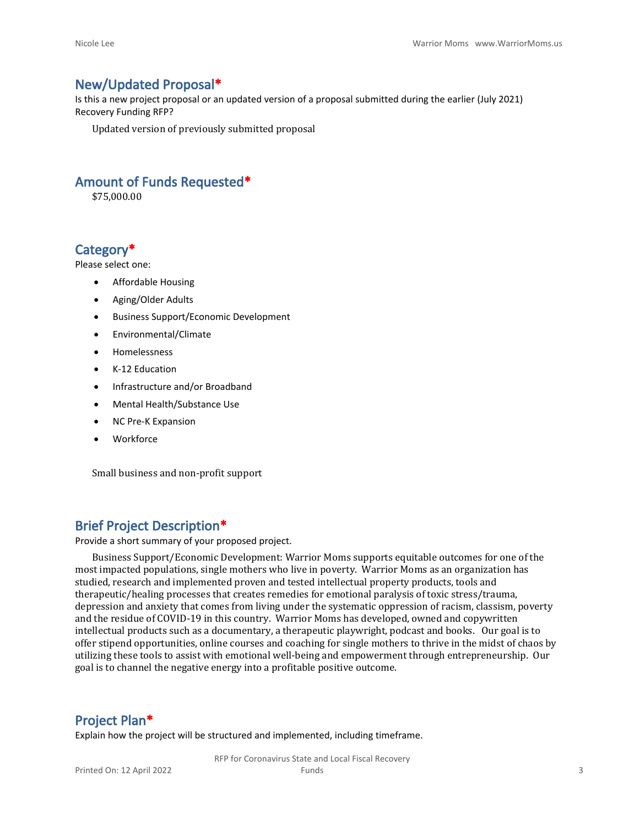# **New/Updated Proposal\***

Is this a new project proposal or an updated version of a proposal submitted during the earlier (July 2021) Recovery Funding RFP?

Updated version of previously submitted proposal

# **Amount of Funds Requested\***

\$75,000.00

# **Category\***

Please select one:

- Affordable Housing
- Aging/Older Adults
- Business Support/Economic Development
- Environmental/Climate
- Homelessness
- K-12 Education
- Infrastructure and/or Broadband
- Mental Health/Substance Use
- NC Pre-K Expansion
- Workforce

Small business and non-profit support

### **Brief Project Description\***

Provide a short summary of your proposed project.

Business Support/Economic Development: Warrior Moms supports equitable outcomes for one of the most impacted populations, single mothers who live in poverty. Warrior Moms as an organization has studied, research and implemented proven and tested intellectual property products, tools and therapeutic/healing processes that creates remedies for emotional paralysis of toxic stress/trauma, depression and anxiety that comes from living under the systematic oppression of racism, classism, poverty and the residue of COVID-19 in this country. Warrior Moms has developed, owned and copywritten intellectual products such as a documentary, a therapeutic playwright, podcast and books. Our goal is to offer stipend opportunities, online courses and coaching for single mothers to thrive in the midst of chaos by utilizing these tools to assist with emotional well-being and empowerment through entrepreneurship. Our goal is to channel the negative energy into a profitable positive outcome.

### **Project Plan\***

Explain how the project will be structured and implemented, including timeframe.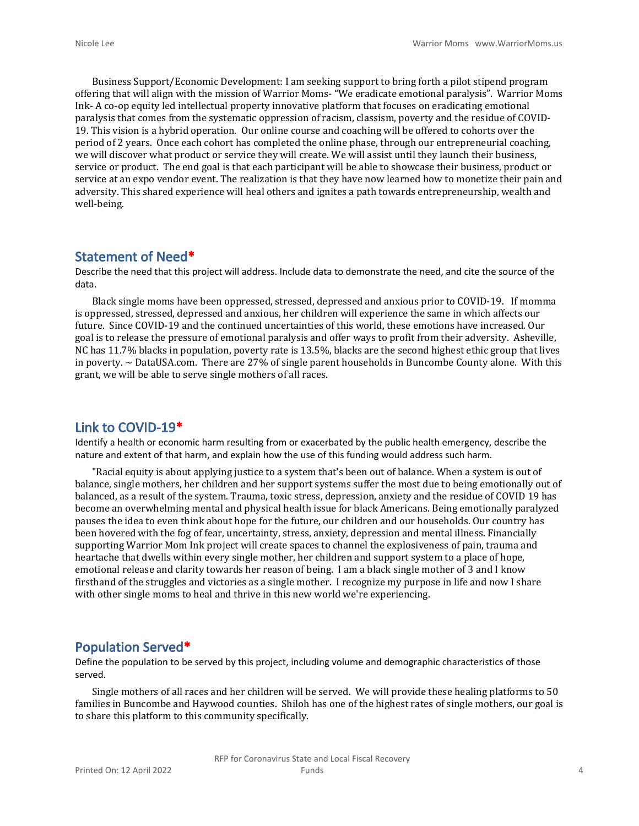Business Support/Economic Development: I am seeking support to bring forth a pilot stipend program offering that will align with the mission of Warrior Moms- "We eradicate emotional paralysis". Warrior Moms Ink- A co-op equity led intellectual property innovative platform that focuses on eradicating emotional paralysis that comes from the systematic oppression of racism, classism, poverty and the residue of COVID-19. This vision is a hybrid operation. Our online course and coaching will be offered to cohorts over the period of 2 years. Once each cohort has completed the online phase, through our entrepreneurial coaching, we will discover what product or service they will create. We will assist until they launch their business, service or product. The end goal is that each participant will be able to showcase their business, product or service at an expo vendor event. The realization is that they have now learned how to monetize their pain and adversity. This shared experience will heal others and ignites a path towards entrepreneurship, wealth and well-being.

# **Statement of Need\***

Describe the need that this project will address. Include data to demonstrate the need, and cite the source of the data.

Black single moms have been oppressed, stressed, depressed and anxious prior to COVID-19. If momma is oppressed, stressed, depressed and anxious, her children will experience the same in which affects our future. Since COVID-19 and the continued uncertainties of this world, these emotions have increased. Our goal is to release the pressure of emotional paralysis and offer ways to profit from their adversity. Asheville, NC has 11.7% blacks in population, poverty rate is 13.5%, blacks are the second highest ethic group that lives in poverty.  $\sim$  DataUSA.com. There are 27% of single parent households in Buncombe County alone. With this grant, we will be able to serve single mothers of all races.

## **Link to COVID-19\***

Identify a health or economic harm resulting from or exacerbated by the public health emergency, describe the nature and extent of that harm, and explain how the use of this funding would address such harm.

"Racial equity is about applying justice to a system that's been out of balance. When a system is out of balance, single mothers, her children and her support systems suffer the most due to being emotionally out of balanced, as a result of the system. Trauma, toxic stress, depression, anxiety and the residue of COVID 19 has become an overwhelming mental and physical health issue for black Americans. Being emotionally paralyzed pauses the idea to even think about hope for the future, our children and our households. Our country has been hovered with the fog of fear, uncertainty, stress, anxiety, depression and mental illness. Financially supporting Warrior Mom Ink project will create spaces to channel the explosiveness of pain, trauma and heartache that dwells within every single mother, her children and support system to a place of hope, emotional release and clarity towards her reason of being. I am a black single mother of 3 and I know firsthand of the struggles and victories as a single mother. I recognize my purpose in life and now I share with other single moms to heal and thrive in this new world we're experiencing.

# **Population Served\***

Define the population to be served by this project, including volume and demographic characteristics of those served.

Single mothers of all races and her children will be served. We will provide these healing platforms to 50 families in Buncombe and Haywood counties. Shiloh has one of the highest rates of single mothers, our goal is to share this platform to this community specifically.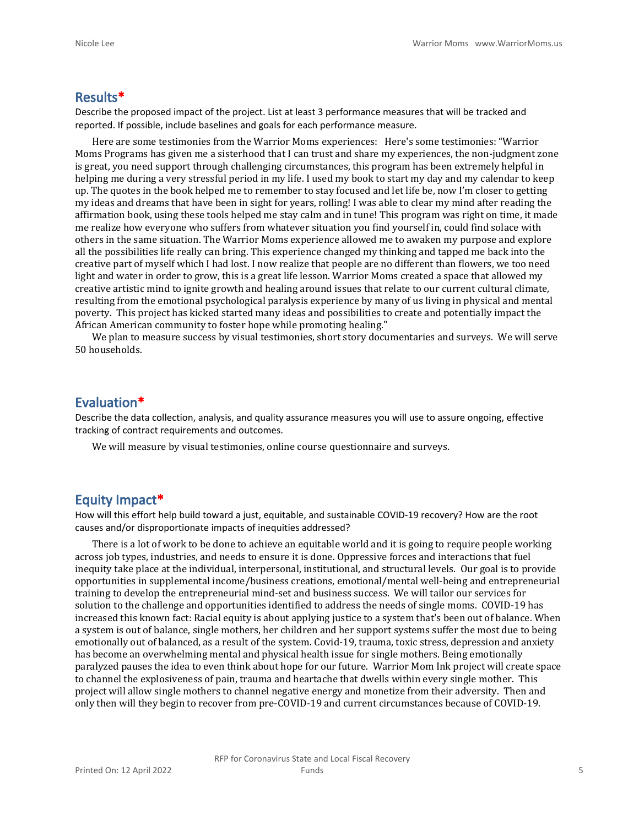#### **Results\***

Describe the proposed impact of the project. List at least 3 performance measures that will be tracked and reported. If possible, include baselines and goals for each performance measure.

Here are some testimonies from the Warrior Moms experiences: Here's some testimonies: "Warrior Moms Programs has given me a sisterhood that I can trust and share my experiences, the non-judgment zone is great, you need support through challenging circumstances, this program has been extremely helpful in helping me during a very stressful period in my life. I used my book to start my day and my calendar to keep up. The quotes in the book helped me to remember to stay focused and let life be, now I'm closer to getting my ideas and dreams that have been in sight for years, rolling! I was able to clear my mind after reading the affirmation book, using these tools helped me stay calm and in tune! This program was right on time, it made me realize how everyone who suffers from whatever situation you find yourself in, could find solace with others in the same situation. The Warrior Moms experience allowed me to awaken my purpose and explore all the possibilities life really can bring. This experience changed my thinking and tapped me back into the creative part of myself which I had lost. I now realize that people are no different than flowers, we too need light and water in order to grow, this is a great life lesson. Warrior Moms created a space that allowed my creative artistic mind to ignite growth and healing around issues that relate to our current cultural climate, resulting from the emotional psychological paralysis experience by many of us living in physical and mental poverty. This project has kicked started many ideas and possibilities to create and potentially impact the African American community to foster hope while promoting healing."

We plan to measure success by visual testimonies, short story documentaries and surveys. We will serve 50 households.

# **Evaluation\***

Describe the data collection, analysis, and quality assurance measures you will use to assure ongoing, effective tracking of contract requirements and outcomes.

We will measure by visual testimonies, online course questionnaire and surveys.

# **Equity Impact\***

How will this effort help build toward a just, equitable, and sustainable COVID-19 recovery? How are the root causes and/or disproportionate impacts of inequities addressed?

There is a lot of work to be done to achieve an equitable world and it is going to require people working across job types, industries, and needs to ensure it is done. Oppressive forces and interactions that fuel inequity take place at the individual, interpersonal, institutional, and structural levels. Our goal is to provide opportunities in supplemental income/business creations, emotional/mental well-being and entrepreneurial training to develop the entrepreneurial mind-set and business success. We will tailor our services for solution to the challenge and opportunities identified to address the needs of single moms. COVID-19 has increased this known fact: Racial equity is about applying justice to a system that's been out of balance. When a system is out of balance, single mothers, her children and her support systems suffer the most due to being emotionally out of balanced, as a result of the system. Covid-19, trauma, toxic stress, depression and anxiety has become an overwhelming mental and physical health issue for single mothers. Being emotionally paralyzed pauses the idea to even think about hope for our future. Warrior Mom Ink project will create space to channel the explosiveness of pain, trauma and heartache that dwells within every single mother. This project will allow single mothers to channel negative energy and monetize from their adversity. Then and only then will they begin to recover from pre-COVID-19 and current circumstances because of COVID-19.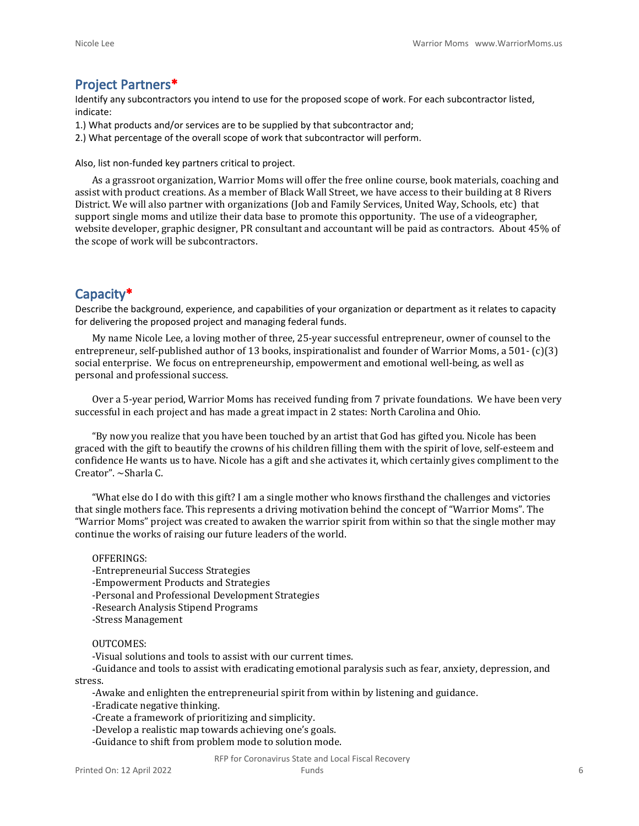# **Project Partners\***

Identify any subcontractors you intend to use for the proposed scope of work. For each subcontractor listed, indicate:

- 1.) What products and/or services are to be supplied by that subcontractor and;
- 2.) What percentage of the overall scope of work that subcontractor will perform.

Also, list non-funded key partners critical to project.

As a grassroot organization, Warrior Moms will offer the free online course, book materials, coaching and assist with product creations. As a member of Black Wall Street, we have access to their building at 8 Rivers District. We will also partner with organizations (Job and Family Services, United Way, Schools, etc) that support single moms and utilize their data base to promote this opportunity. The use of a videographer, website developer, graphic designer, PR consultant and accountant will be paid as contractors. About 45% of the scope of work will be subcontractors.

# **Capacity\***

Describe the background, experience, and capabilities of your organization or department as it relates to capacity for delivering the proposed project and managing federal funds.

My name Nicole Lee, a loving mother of three, 25-year successful entrepreneur, owner of counsel to the entrepreneur, self-published author of 13 books, inspirationalist and founder of Warrior Moms, a 501- (c)(3) social enterprise. We focus on entrepreneurship, empowerment and emotional well-being, as well as personal and professional success.

Over a 5-year period, Warrior Moms has received funding from 7 private foundations. We have been very successful in each project and has made a great impact in 2 states: North Carolina and Ohio.

"By now you realize that you have been touched by an artist that God has gifted you. Nicole has been graced with the gift to beautify the crowns of his children filling them with the spirit of love, self-esteem and confidence He wants us to have. Nicole has a gift and she activates it, which certainly gives compliment to the Creator". ~Sharla C.

"What else do I do with this gift? I am a single mother who knows firsthand the challenges and victories that single mothers face. This represents a driving motivation behind the concept of "Warrior Moms". The "Warrior Moms" project was created to awaken the warrior spirit from within so that the single mother may continue the works of raising our future leaders of the world.

#### OFFERINGS:

- -Entrepreneurial Success Strategies
- -Empowerment Products and Strategies
- -Personal and Professional Development Strategies
- -Research Analysis Stipend Programs
- -Stress Management

#### OUTCOMES:

-Visual solutions and tools to assist with our current times.

-Guidance and tools to assist with eradicating emotional paralysis such as fear, anxiety, depression, and stress.

-Awake and enlighten the entrepreneurial spirit from within by listening and guidance.

- -Eradicate negative thinking.
- -Create a framework of prioritizing and simplicity.
- -Develop a realistic map towards achieving one's goals.
- -Guidance to shift from problem mode to solution mode.

#### RFP for Coronavirus State and Local Fiscal Recovery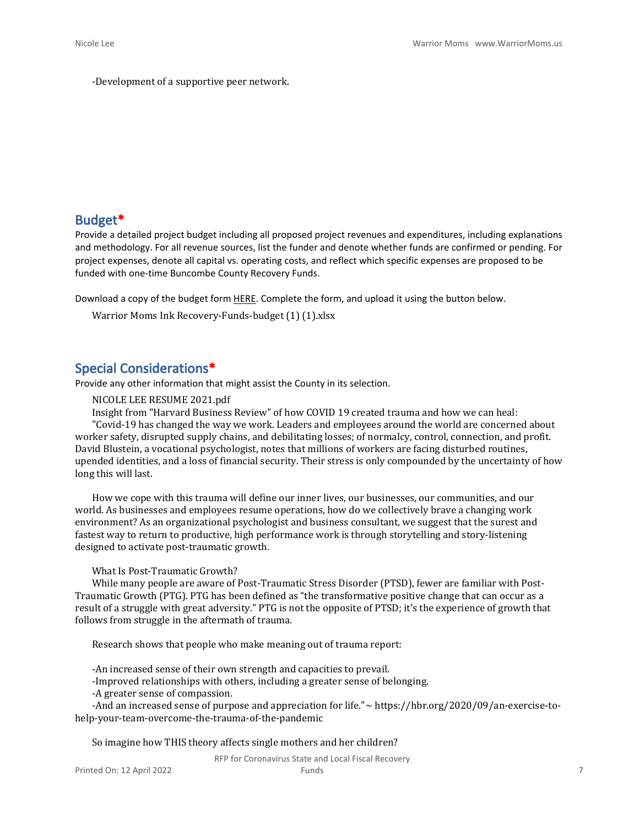-Development of a supportive peer network.

### **Budget\***

Provide a detailed project budget including all proposed project revenues and expenditures, including explanations and methodology. For all revenue sources, list the funder and denote whether funds are confirmed or pending. For project expenses, denote all capital vs. operating costs, and reflect which specific expenses are proposed to be funded with one-time Buncombe County Recovery Funds.

Download a copy of the budget form [HERE](https://buncombecounty.org/common/community-investment/grants/early-childhood-education/Recovery-Funds-budget-template.xlsx). Complete the form, and upload it using the button below.

Warrior Moms Ink Recovery-Funds-budget (1) (1).xlsx

# **Special Considerations\***

Provide any other information that might assist the County in its selection.

NICOLE LEE RESUME 2021.pdf

Insight from "Harvard Business Review" of how COVID 19 created trauma and how we can heal: "Covid-19 has changed the way we work. Leaders and employees around the world are concerned about worker safety, disrupted supply chains, and debilitating losses; of normalcy, control, connection, and profit. David Blustein, a vocational psychologist, notes that millions of workers are facing disturbed routines, upended identities, and a loss of financial security. Their stress is only compounded by the uncertainty of how long this will last.

How we cope with this trauma will define our inner lives, our businesses, our communities, and our world. As businesses and employees resume operations, how do we collectively brave a changing work environment? As an organizational psychologist and business consultant, we suggest that the surest and fastest way to return to productive, high performance work is through storytelling and story-listening designed to activate post-traumatic growth.

#### What Is Post-Traumatic Growth?

While many people are aware of Post-Traumatic Stress Disorder (PTSD), fewer are familiar with Post-Traumatic Growth (PTG). PTG has been defined as "the transformative positive change that can occur as a result of a struggle with great adversity." PTG is not the opposite of PTSD; it's the experience of growth that follows from struggle in the aftermath of trauma.

Research shows that people who make meaning out of trauma report:

-An increased sense of their own strength and capacities to prevail.

-Improved relationships with others, including a greater sense of belonging.

-A greater sense of compassion.

-And an increased sense of purpose and appreciation for life."~ https://hbr.org/2020/09/an-exercise-tohelp-your-team-overcome-the-trauma-of-the-pandemic

So imagine how THIS theory affects single mothers and her children?

RFP for Coronavirus State and Local Fiscal Recovery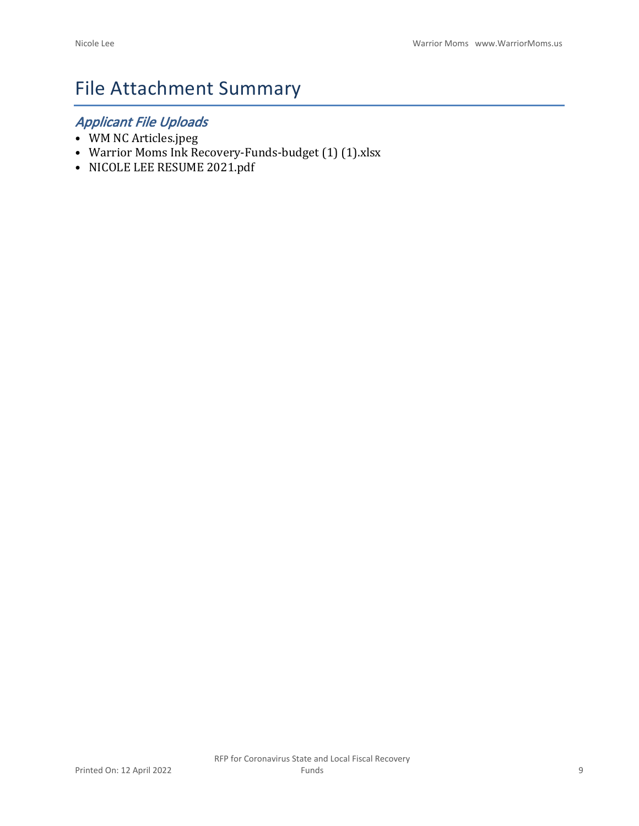# File Attachment Summary

# *Applicant File Uploads*

- WM NC Articles.jpeg
- Warrior Moms Ink Recovery-Funds-budget (1) (1).xlsx
- NICOLE LEE RESUME 2021.pdf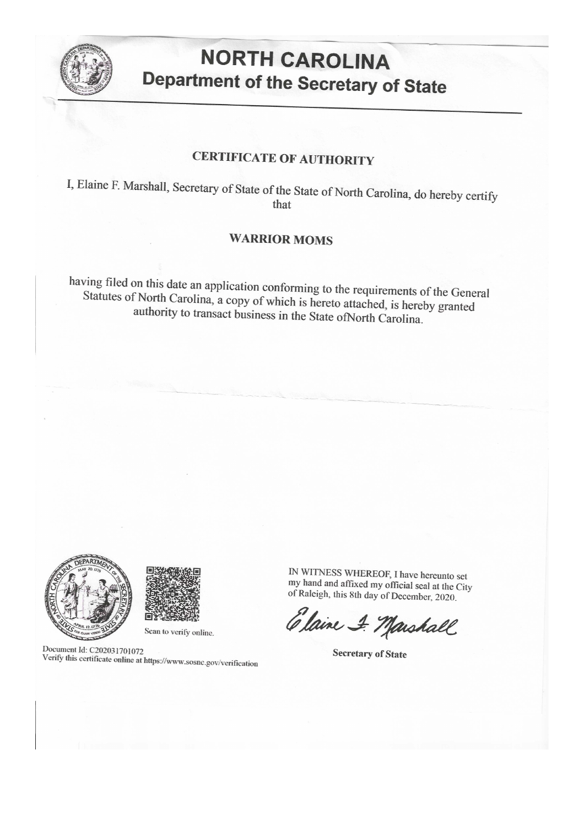

# **NORTH CAROLINA Department of the Secretary of State**

# **CERTIFICATE OF AUTHORITY**

I, Elaine F. Marshall, Secretary of State of the State of North Carolina, do hereby certify that

# **WARRIOR MOMS**

having filed on this date an application conforming to the requirements of the General Statutes of North Carolina, a copy of which is hereto attached, is hereby granted authority to transact business in the State of North Carolina.





#### Scan to verify online.

Document Id: C202031701072 Verify this certificate online at https://www.sosnc.gov/verification

IN WITNESS WHEREOF, I have hereunto set my hand and affixed my official seal at the City of Raleigh, this 8th day of December, 2020.

Elaine & Marshall

**Secretary of State**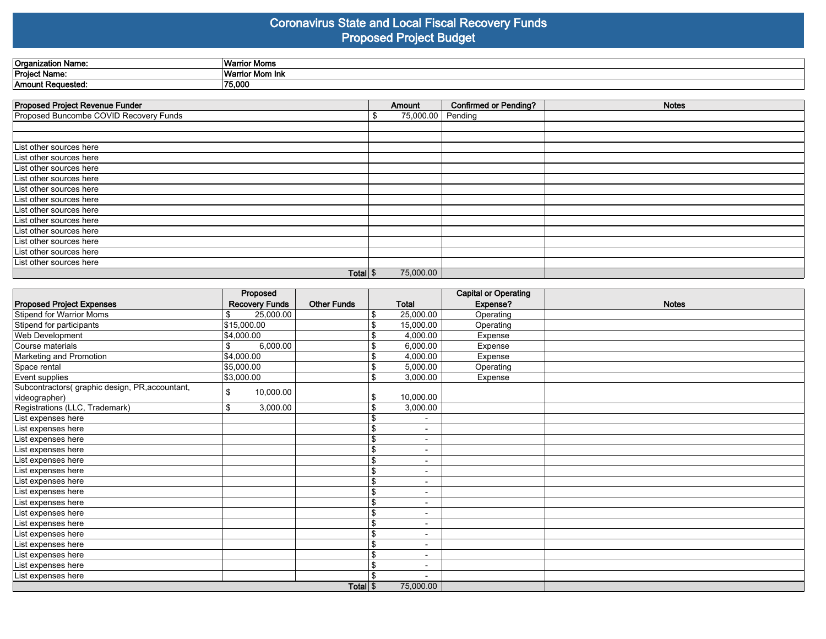### **Coronavirus State and Local Fiscal Recovery Funds Proposed Project Budget**

| Organization Name: | <b>Warric</b><br>: Moms |
|--------------------|-------------------------|
| Project Name:      | `Warrio<br>ాంr Mom Ink  |
| Amount Requested:  | 75,000                  |

| Proposed Project Revenue Funder        | Amount    | <b>Confirmed or Pending?</b> | <b>Notes</b> |
|----------------------------------------|-----------|------------------------------|--------------|
| Proposed Buncombe COVID Recovery Funds | 75,000.00 | Pending                      |              |
|                                        |           |                              |              |
|                                        |           |                              |              |
| List other sources here                |           |                              |              |
| List other sources here                |           |                              |              |
| List other sources here                |           |                              |              |
| List other sources here                |           |                              |              |
| List other sources here                |           |                              |              |
| List other sources here                |           |                              |              |
| List other sources here                |           |                              |              |
| List other sources here                |           |                              |              |
| List other sources here                |           |                              |              |
| List other sources here                |           |                              |              |
| List other sources here                |           |                              |              |
| List other sources here                |           |                              |              |
| Total $\frac{1}{3}$                    | 75,000.00 |                              |              |

|                                                 | Proposed              |                    |    |                          | <b>Capital or Operating</b> |              |
|-------------------------------------------------|-----------------------|--------------------|----|--------------------------|-----------------------------|--------------|
| <b>Proposed Project Expenses</b>                | <b>Recovery Funds</b> | <b>Other Funds</b> |    | <b>Total</b>             | Expense?                    | <b>Notes</b> |
| Stipend for Warrior Moms                        | 25,000.00<br>\$       |                    | S  | 25,000.00                | Operating                   |              |
| Stipend for participants                        | \$15,000.00           |                    | \$ | 15,000.00                | Operating                   |              |
| Web Development                                 | \$4,000.00            |                    |    | 4,000.00                 | Expense                     |              |
| Course materials                                | 6,000.00<br>\$        |                    |    | 6,000.00                 | Expense                     |              |
| Marketing and Promotion                         | \$4,000.00            |                    | \$ | 4,000.00                 | Expense                     |              |
| Space rental                                    | \$5,000.00            |                    | \$ | 5,000.00                 | Operating                   |              |
| Event supplies                                  | \$3,000.00            |                    | \$ | 3,000.00                 | Expense                     |              |
| Subcontractors( graphic design, PR, accountant, | 10,000.00<br>\$       |                    |    |                          |                             |              |
| videographer)                                   |                       |                    | S  | 10,000.00                |                             |              |
| Registrations (LLC, Trademark)                  | \$<br>3,000.00        |                    | S  | 3,000.00                 |                             |              |
| List expenses here                              |                       |                    |    | $\overline{\phantom{a}}$ |                             |              |
| List expenses here                              |                       |                    | \$ | $\overline{\phantom{0}}$ |                             |              |
| List expenses here                              |                       |                    | \$ | $\overline{\phantom{a}}$ |                             |              |
| List expenses here                              |                       |                    | \$ | $\overline{a}$           |                             |              |
| List expenses here                              |                       |                    | \$ | $\blacksquare$           |                             |              |
| List expenses here                              |                       |                    | \$ | $\blacksquare$           |                             |              |
| List expenses here                              |                       |                    | \$ | $\blacksquare$           |                             |              |
| List expenses here                              |                       |                    | \$ | $\overline{\phantom{a}}$ |                             |              |
| List expenses here                              |                       |                    | \$ | $\overline{\phantom{0}}$ |                             |              |
| List expenses here                              |                       |                    | \$ | $\blacksquare$           |                             |              |
| List expenses here                              |                       |                    | \$ | $\overline{\phantom{a}}$ |                             |              |
| List expenses here                              |                       |                    | \$ | $\blacksquare$           |                             |              |
| List expenses here                              |                       |                    | \$ | $\overline{\phantom{a}}$ |                             |              |
| List expenses here                              |                       |                    | \$ | $\overline{a}$           |                             |              |
| List expenses here                              |                       |                    | \$ | $\blacksquare$           |                             |              |
| List expenses here                              |                       |                    |    |                          |                             |              |
|                                                 |                       | Total <sup>S</sup> |    |                          |                             |              |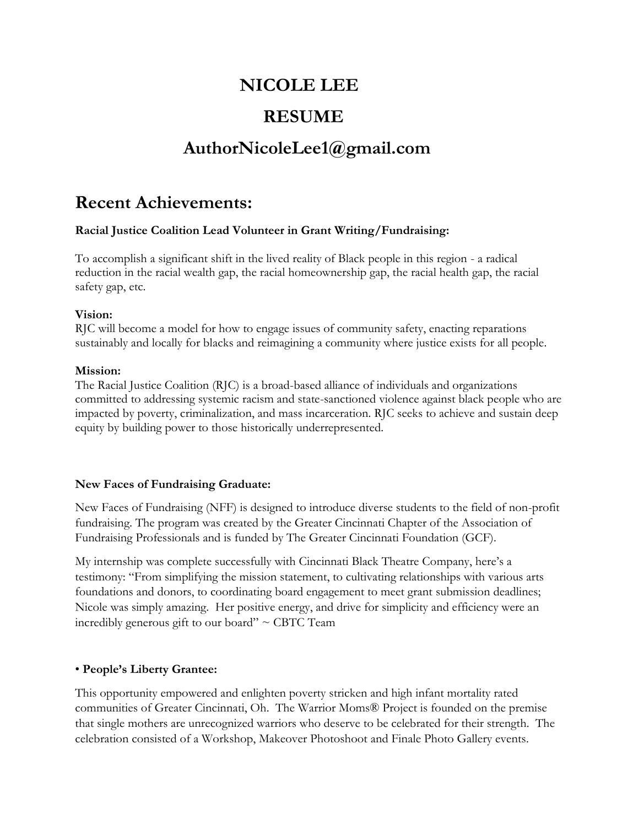# **NICOLE LEE**

# **RESUME**

# **AuthorNicoleLee1@gmail.com**

# **Recent Achievements:**

# **Racial Justice Coalition Lead Volunteer in Grant Writing/Fundraising:**

To accomplish a significant shift in the lived reality of Black people in this region - a radical reduction in the racial wealth gap, the racial homeownership gap, the racial health gap, the racial safety gap, etc.

### **Vision:**

RJC will become a model for how to engage issues of community safety, enacting reparations sustainably and locally for blacks and reimagining a community where justice exists for all people.

### **Mission:**

The Racial Justice Coalition (RJC) is a broad-based alliance of individuals and organizations committed to addressing systemic racism and state-sanctioned violence against black people who are impacted by poverty, criminalization, and mass incarceration. RJC seeks to achieve and sustain deep equity by building power to those historically underrepresented.

### **New Faces of Fundraising Graduate:**

New Faces of Fundraising (NFF) is designed to introduce diverse students to the field of non-profit fundraising. The program was created by the Greater Cincinnati Chapter of the Association of Fundraising Professionals and is funded by The Greater Cincinnati Foundation (GCF).

My internship was complete successfully with Cincinnati Black Theatre Company, here's a testimony: "From simplifying the mission statement, to cultivating relationships with various arts foundations and donors, to coordinating board engagement to meet grant submission deadlines; Nicole was simply amazing. Her positive energy, and drive for simplicity and efficiency were an incredibly generous gift to our board"  $\sim$  CBTC Team

# • **People's Liberty Grantee:**

This opportunity empowered and enlighten poverty stricken and high infant mortality rated communities of Greater Cincinnati, Oh. The Warrior Moms® Project is founded on the premise that single mothers are unrecognized warriors who deserve to be celebrated for their strength. The celebration consisted of a Workshop, Makeover Photoshoot and Finale Photo Gallery events.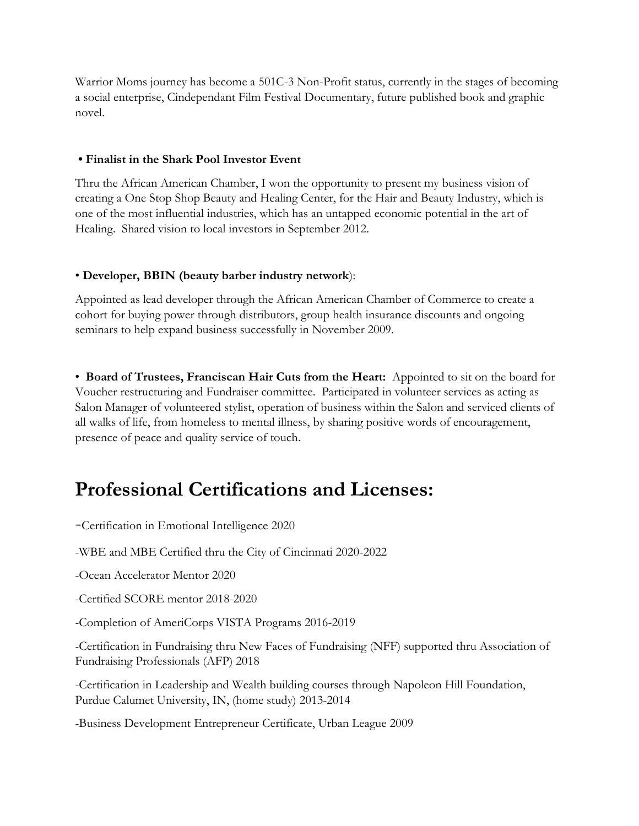Warrior Moms journey has become a 501C-3 Non-Profit status, currently in the stages of becoming a social enterprise, Cindependant Film Festival Documentary, future published book and graphic novel.

### **• Finalist in the Shark Pool Investor Event**

Thru the African American Chamber, I won the opportunity to present my business vision of creating a One Stop Shop Beauty and Healing Center, for the Hair and Beauty Industry, which is one of the most influential industries, which has an untapped economic potential in the art of Healing. Shared vision to local investors in September 2012.

### • **Developer, BBIN (beauty barber industry network**):

Appointed as lead developer through the African American Chamber of Commerce to create a cohort for buying power through distributors, group health insurance discounts and ongoing seminars to help expand business successfully in November 2009.

• **Board of Trustees, Franciscan Hair Cuts from the Heart:** Appointed to sit on the board for Voucher restructuring and Fundraiser committee. Participated in volunteer services as acting as Salon Manager of volunteered stylist, operation of business within the Salon and serviced clients of all walks of life, from homeless to mental illness, by sharing positive words of encouragement, presence of peace and quality service of touch.

# **Professional Certifications and Licenses:**

-Certification in Emotional Intelligence <sup>2020</sup>

-WBE and MBE Certified thru the City of Cincinnati 2020-2022

-Ocean Accelerator Mentor 2020

-Certified SCORE mentor 2018-2020

-Completion of AmeriCorps VISTA Programs 2016-2019

-Certification in Fundraising thru New Faces of Fundraising (NFF) supported thru Association of Fundraising Professionals (AFP) 2018

-Certification in Leadership and Wealth building courses through Napoleon Hill Foundation, Purdue Calumet University, IN, (home study) 2013-2014

-Business Development Entrepreneur Certificate, Urban League 2009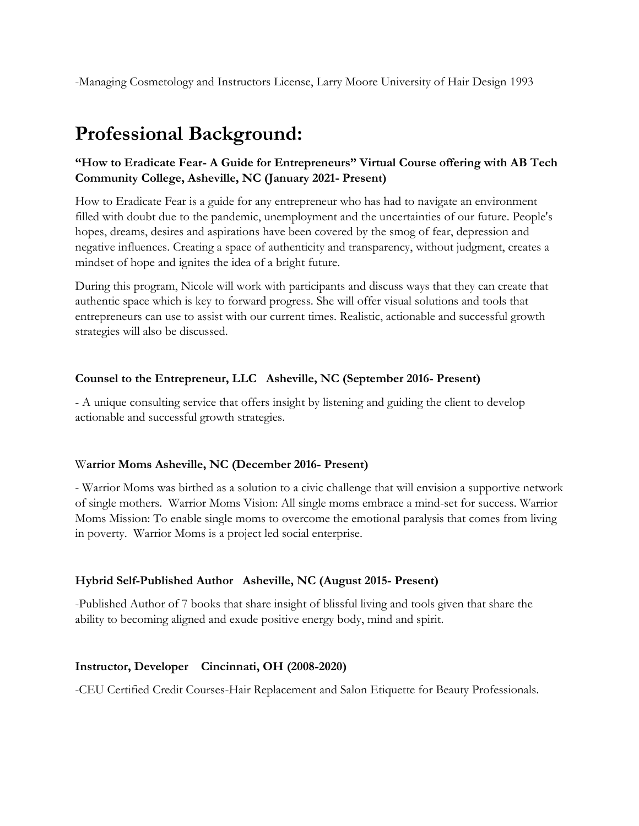-Managing Cosmetology and Instructors License, Larry Moore University of Hair Design 1993

# **Professional Background:**

# **"How to Eradicate Fear- A Guide for Entrepreneurs" Virtual Course offering with AB Tech Community College, Asheville, NC (January 2021- Present)**

How to Eradicate Fear is a guide for any entrepreneur who has had to navigate an environment filled with doubt due to the pandemic, unemployment and the uncertainties of our future. People's hopes, dreams, desires and aspirations have been covered by the smog of fear, depression and negative influences. Creating a space of authenticity and transparency, without judgment, creates a mindset of hope and ignites the idea of a bright future.

During this program, Nicole will work with participants and discuss ways that they can create that authentic space which is key to forward progress. She will offer visual solutions and tools that entrepreneurs can use to assist with our current times. Realistic, actionable and successful growth strategies will also be discussed.

# **Counsel to the Entrepreneur, LLC Asheville, NC (September 2016- Present)**

- A unique consulting service that offers insight by listening and guiding the client to develop actionable and successful growth strategies.

### W**arrior Moms Asheville, NC (December 2016- Present)**

- Warrior Moms was birthed as a solution to a civic challenge that will envision a supportive network of single mothers. Warrior Moms Vision: All single moms embrace a mind-set for success. Warrior Moms Mission: To enable single moms to overcome the emotional paralysis that comes from living in poverty. Warrior Moms is a project led social enterprise.

# **Hybrid Self-Published Author Asheville, NC (August 2015- Present)**

-Published Author of 7 books that share insight of blissful living and tools given that share the ability to becoming aligned and exude positive energy body, mind and spirit.

# **Instructor, Developer Cincinnati, OH (2008-2020)**

-CEU Certified Credit Courses-Hair Replacement and Salon Etiquette for Beauty Professionals.